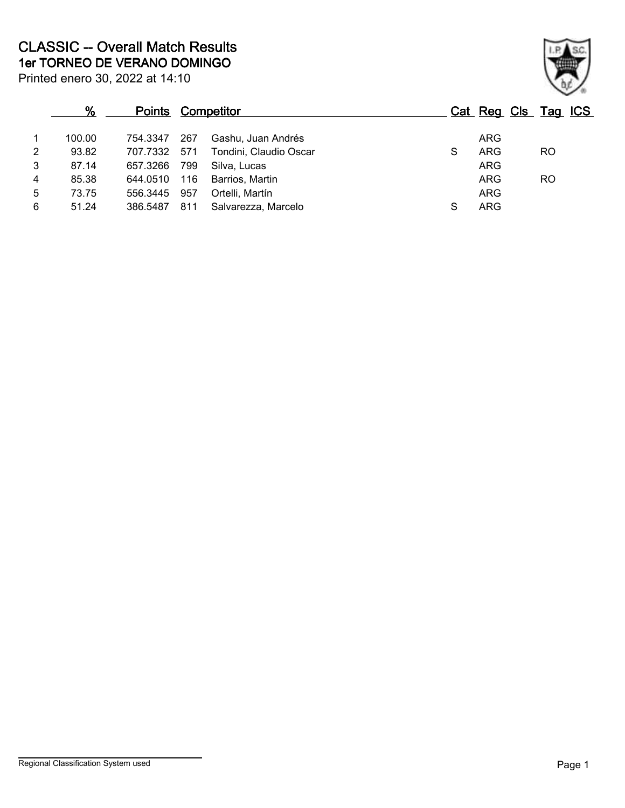| %      |          |     |                        |                          |            |           |                     |
|--------|----------|-----|------------------------|--------------------------|------------|-----------|---------------------|
| 100.00 | 754.3347 | 267 | Gashu, Juan Andrés     |                          | <b>ARG</b> |           |                     |
| 93.82  |          |     | Tondini, Claudio Oscar | S                        | <b>ARG</b> | RO        |                     |
| 87.14  | 657.3266 | 799 | Silva, Lucas           |                          | <b>ARG</b> |           |                     |
| 85.38  | 644.0510 | 116 | Barrios, Martin        |                          | <b>ARG</b> | <b>RO</b> |                     |
| 73.75  | 556.3445 | 957 | Ortelli, Martín        |                          | <b>ARG</b> |           |                     |
| 51.24  | 386,5487 | 811 | Salvarezza, Marcelo    | S                        | ARG        |           |                     |
|        |          |     | 707.7332 571           | <b>Points Competitor</b> |            |           | Cat Reg Cls Tag ICS |

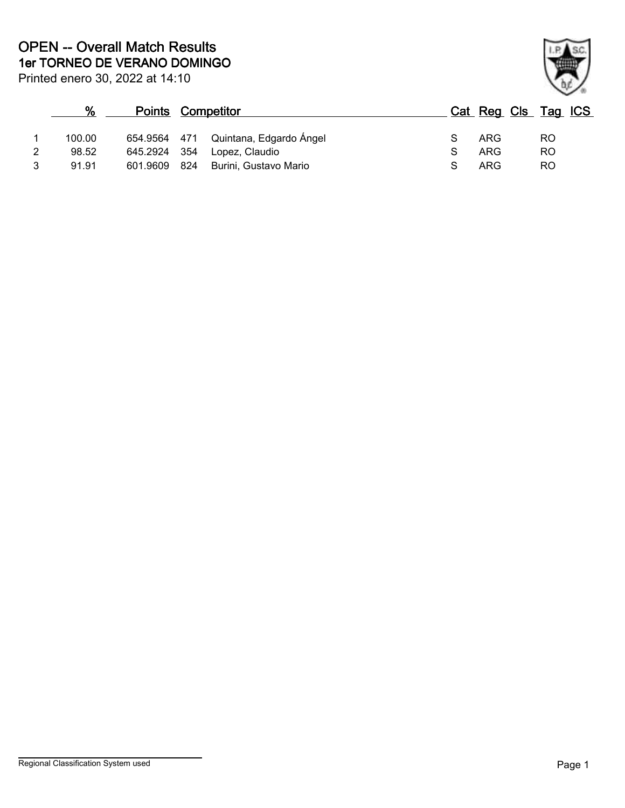Printed enero 30, 2022 at 14:10

# **% Points Competitor Cat Reg Cls Tag ICS** 1 100.00 654.9564 471 Quintana, Edgardo Ángel S ARG RO 2 98.52 645.2924 354 Lopez, Claudio <br>3 91.91 601.9609 824 Burini. Gustavo Mario 3 S ARG RO 3 91.91 601.9609 824 Burini, Gustavo Mario **Sand Strawber Rough Strawber Rough Article Rough Strawber Rough Article Rough Strawber Rough Article Rough Strawber Rough Strawber Rough Strawber Rough Strawber Rough Strawber Ro**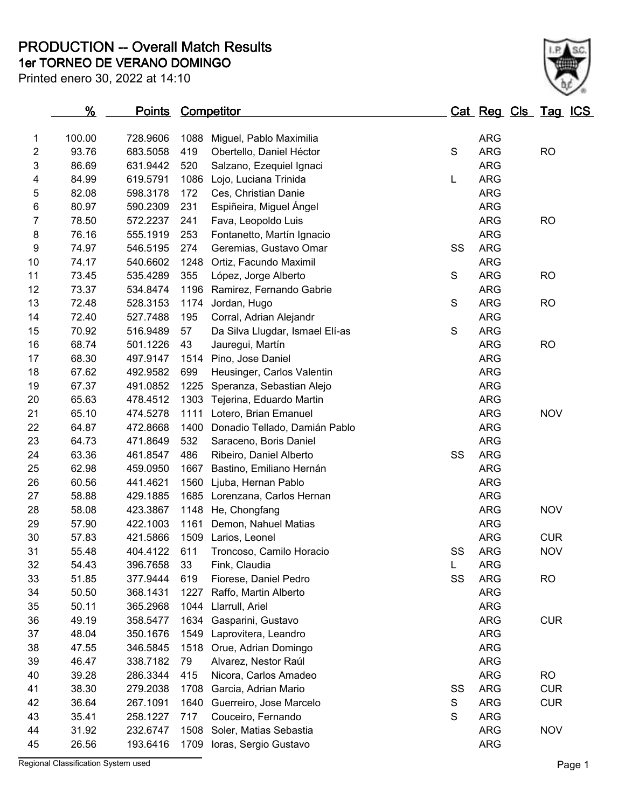**1er TORNEO DE VERANO DOMINGO PRODUCTION -- Overall Match Results**

Printed enero 30, 2022 at 14:10

|                | <u>%</u> | <b>Points Competitor</b> |      |                                 |               |            | Cat Reg Cls Tag ICS |  |
|----------------|----------|--------------------------|------|---------------------------------|---------------|------------|---------------------|--|
| 1              | 100.00   | 728.9606                 | 1088 | Miguel, Pablo Maximilia         |               | <b>ARG</b> |                     |  |
| $\overline{2}$ | 93.76    | 683.5058                 | 419  | Obertello, Daniel Héctor        | $\mathsf S$   | <b>ARG</b> | <b>RO</b>           |  |
| 3              | 86.69    | 631.9442                 | 520  | Salzano, Ezequiel Ignaci        |               | <b>ARG</b> |                     |  |
| 4              | 84.99    | 619.5791                 | 1086 | Lojo, Luciana Trinida           | L             | <b>ARG</b> |                     |  |
| 5              | 82.08    | 598.3178                 | 172  | Ces, Christian Danie            |               | <b>ARG</b> |                     |  |
| 6              | 80.97    | 590.2309                 | 231  | Espiñeira, Miguel Ángel         |               | <b>ARG</b> |                     |  |
| 7              | 78.50    | 572.2237                 | 241  | Fava, Leopoldo Luis             |               | <b>ARG</b> | <b>RO</b>           |  |
| 8              | 76.16    | 555.1919                 | 253  | Fontanetto, Martín Ignacio      |               | <b>ARG</b> |                     |  |
| 9              | 74.97    | 546.5195                 | 274  | Geremias, Gustavo Omar          | SS            | <b>ARG</b> |                     |  |
| 10             | 74.17    | 540.6602                 | 1248 | Ortiz, Facundo Maximil          |               | <b>ARG</b> |                     |  |
| 11             | 73.45    | 535.4289                 | 355  | López, Jorge Alberto            | $\mathbf S$   | <b>ARG</b> | <b>RO</b>           |  |
| 12             | 73.37    | 534.8474                 | 1196 | Ramirez, Fernando Gabrie        |               | <b>ARG</b> |                     |  |
| 13             | 72.48    | 528.3153                 | 1174 | Jordan, Hugo                    | $\mathsf S$   | <b>ARG</b> | <b>RO</b>           |  |
| 14             | 72.40    | 527.7488                 | 195  | Corral, Adrian Alejandr         |               | <b>ARG</b> |                     |  |
| 15             | 70.92    | 516.9489                 | 57   | Da Silva Llugdar, Ismael Elí-as | ${\mathsf S}$ | <b>ARG</b> |                     |  |
| 16             | 68.74    | 501.1226                 | 43   | Jauregui, Martín                |               | <b>ARG</b> | <b>RO</b>           |  |
| 17             | 68.30    | 497.9147                 | 1514 | Pino, Jose Daniel               |               | <b>ARG</b> |                     |  |
| 18             | 67.62    | 492.9582                 | 699  | Heusinger, Carlos Valentin      |               | <b>ARG</b> |                     |  |
| 19             | 67.37    | 491.0852                 | 1225 | Speranza, Sebastian Alejo       |               | <b>ARG</b> |                     |  |
| 20             | 65.63    | 478.4512                 | 1303 | Tejerina, Eduardo Martin        |               | <b>ARG</b> |                     |  |
| 21             | 65.10    | 474.5278                 | 1111 | Lotero, Brian Emanuel           |               | <b>ARG</b> | <b>NOV</b>          |  |
| 22             | 64.87    | 472.8668                 | 1400 | Donadio Tellado, Damián Pablo   |               | <b>ARG</b> |                     |  |
| 23             | 64.73    | 471.8649                 | 532  | Saraceno, Boris Daniel          |               | <b>ARG</b> |                     |  |
| 24             | 63.36    | 461.8547                 | 486  | Ribeiro, Daniel Alberto         | SS            | <b>ARG</b> |                     |  |
| 25             | 62.98    | 459.0950                 | 1667 | Bastino, Emiliano Hernán        |               | <b>ARG</b> |                     |  |
| 26             | 60.56    | 441.4621                 | 1560 | Ljuba, Hernan Pablo             |               | <b>ARG</b> |                     |  |
| 27             | 58.88    | 429.1885                 | 1685 | Lorenzana, Carlos Hernan        |               | <b>ARG</b> |                     |  |
| 28             | 58.08    | 423.3867                 | 1148 | He, Chongfang                   |               | <b>ARG</b> | <b>NOV</b>          |  |
| 29             | 57.90    | 422.1003                 | 1161 | Demon, Nahuel Matias            |               | <b>ARG</b> |                     |  |
| 30             | 57.83    | 421.5866                 | 1509 | Larios, Leonel                  |               | <b>ARG</b> | <b>CUR</b>          |  |
| 31             | 55.48    | 404.4122                 | 611  | Troncoso, Camilo Horacio        | SS            | <b>ARG</b> | <b>NOV</b>          |  |
| 32             | 54.43    | 396.7658                 | 33   | Fink, Claudia                   | L             | <b>ARG</b> |                     |  |
| 33             | 51.85    | 377.9444                 | 619  | Fiorese, Daniel Pedro           | SS            | <b>ARG</b> | <b>RO</b>           |  |
| 34             | 50.50    | 368.1431                 | 1227 | Raffo, Martin Alberto           |               | <b>ARG</b> |                     |  |
| 35             | 50.11    | 365.2968                 | 1044 | Llarrull, Ariel                 |               | ARG        |                     |  |
| 36             | 49.19    | 358.5477                 | 1634 | Gasparini, Gustavo              |               | <b>ARG</b> | <b>CUR</b>          |  |
| 37             | 48.04    | 350.1676                 | 1549 | Laprovitera, Leandro            |               | <b>ARG</b> |                     |  |
| 38             | 47.55    | 346.5845                 | 1518 | Orue, Adrian Domingo            |               | <b>ARG</b> |                     |  |
| 39             | 46.47    | 338.7182                 | 79   | Alvarez, Nestor Raúl            |               | <b>ARG</b> |                     |  |
| 40             | 39.28    | 286.3344                 | 415  | Nicora, Carlos Amadeo           |               | <b>ARG</b> | <b>RO</b>           |  |
| 41             | 38.30    | 279.2038                 | 1708 | Garcia, Adrian Mario            | SS            | ARG        | <b>CUR</b>          |  |
| 42             | 36.64    | 267.1091                 | 1640 | Guerreiro, Jose Marcelo         | S             | <b>ARG</b> | <b>CUR</b>          |  |
| 43             | 35.41    | 258.1227                 | 717  | Couceiro, Fernando              | $\mathbf S$   | ARG        |                     |  |
| 44             | 31.92    | 232.6747                 | 1508 | Soler, Matias Sebastia          |               | <b>ARG</b> | <b>NOV</b>          |  |
| 45             | 26.56    | 193.6416                 | 1709 | Ioras, Sergio Gustavo           |               | ARG        |                     |  |

Regional Classification System used **Page 1** 

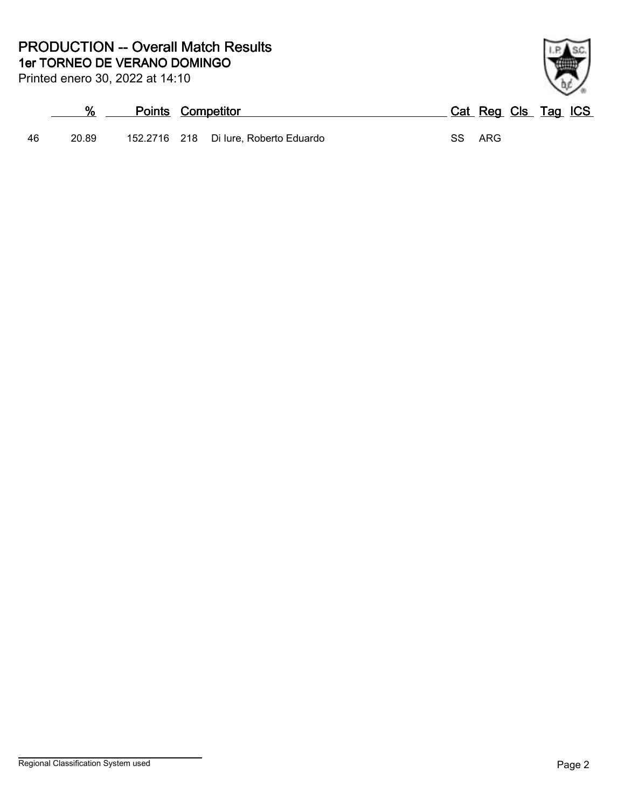#### **1er TORNEO DE VERANO DOMINGO PRODUCTION -- Overall Match Results**

Printed enero 30, 2022 at 14:10

# **% Points Competitor Cat Reg Cls Tag ICS**



46 20.89 152.2716 218 Di Iure, Roberto Eduardo SS ARG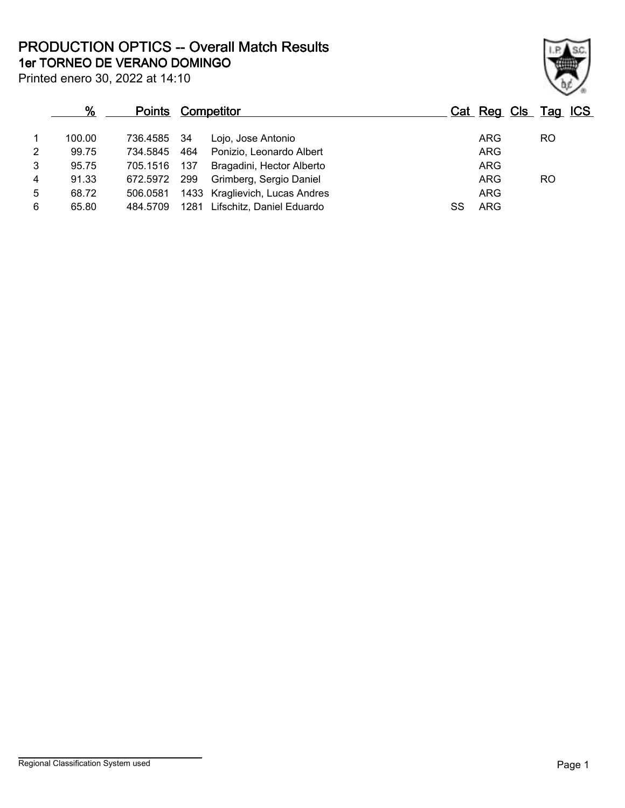**1er TORNEO DE VERANO DOMINGO PRODUCTION OPTICS -- Overall Match Results**

Printed enero 30, 2022 at 14:10

### **% Points Competitor Cat Reg Cls Tag ICS** 1 100.00 736.4585 34 Lojo, Jose Antonio ARG RO 2 99.75 734.5845 464 Ponizio, Leonardo Albert ARG 3 95.75 705.1516 137 Bragadini, Hector Alberto **ARG** 4 91.33 672.5972 299 Grimberg, Sergio Daniel Chronic Communication Communication Communication Communication Co<br>1 68.72 506.0581 1433 Kraglievich. Lucas Andres 68.72 506.0581 1433 Kraglievich, Lucas Andres Andres ARG 6 65.80 484.5709 1281 Lifschitz, Daniel Eduardo SS ARG

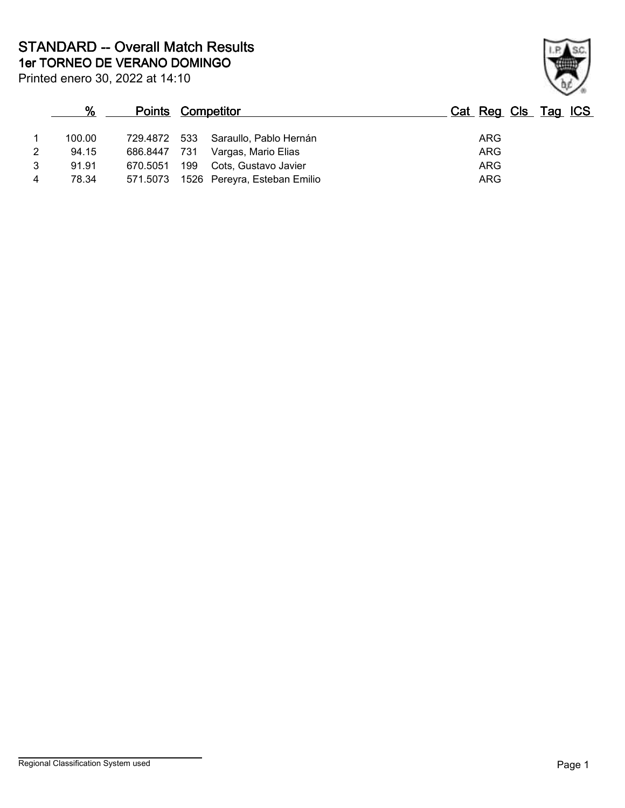**1er TORNEO DE VERANO DOMINGO STANDARD -- Overall Match Results**

| Printed enero 30, 2022 at 14:10 |  |  |  |  |
|---------------------------------|--|--|--|--|
|---------------------------------|--|--|--|--|

## **% Points Competitor Cat Reg Cls Tag ICS** 1 100.00 729.4872 533 Saraullo, Pablo Hernán ARG 2 94.15 686.8447 731 Vargas, Mario Elias ARG 3 91.91 670.5051 199 Cots, Gustavo Javier ARG 4 78.34 571.5073 1526 Pereyra, Esteban Emilio ARG